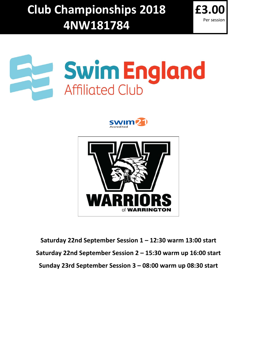**Club Championships 2018 4NW181784**









**Saturday 22nd September Session 1 – 12:30 warm 13:00 start Saturday 22nd September Session 2 – 15:30 warm up 16:00 start Sunday 23rd September Session 3 – 08:00 warm up 08:30 start**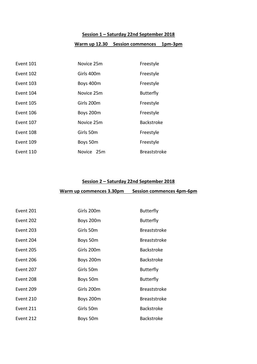# **Session 1 – Saturday 22nd September 2018**

# **Warm up 12.30 Session commences 1pm-3pm**

| Event 101 | Novice 25m | Freestyle           |
|-----------|------------|---------------------|
| Event 102 | Girls 400m | Freestyle           |
| Event 103 | Boys 400m  | Freestyle           |
| Event 104 | Novice 25m | <b>Butterfly</b>    |
| Event 105 | Girls 200m | Freestyle           |
| Event 106 | Boys 200m  | Freestyle           |
| Event 107 | Novice 25m | <b>Backstroke</b>   |
| Event 108 | Girls 50m  | Freestyle           |
| Event 109 | Boys 50m   | Freestyle           |
| Event 110 | Novice 25m | <b>Breaststroke</b> |

## **Session 2 – Saturday 22nd September 2018**

# **Warm up commences 3.30pm Session commences 4pm-6pm**

| Event 201 | Girls 200m | <b>Butterfly</b>    |
|-----------|------------|---------------------|
| Event 202 | Boys 200m  | <b>Butterfly</b>    |
| Event 203 | Girls 50m  | <b>Breaststroke</b> |
| Event 204 | Boys 50m   | <b>Breaststroke</b> |
| Event 205 | Girls 200m | <b>Backstroke</b>   |
| Event 206 | Boys 200m  | <b>Backstroke</b>   |
| Event 207 | Girls 50m  | <b>Butterfly</b>    |
| Event 208 | Boys 50m   | <b>Butterfly</b>    |
| Event 209 | Girls 200m | <b>Breaststroke</b> |
| Event 210 | Boys 200m  | <b>Breaststroke</b> |
| Event 211 | Girls 50m  | <b>Backstroke</b>   |
| Event 212 | Boys 50m   | <b>Backstroke</b>   |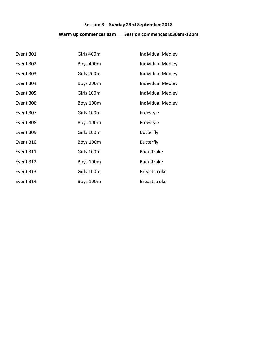# **Session 3 – Sunday 23rd September 2018**

# **Warm up commences 8am Session commences 8:30am-12pm**

| Event 301 | Girls 400m | Individual Medley        |
|-----------|------------|--------------------------|
| Event 302 | Boys 400m  | Individual Medley        |
| Event 303 | Girls 200m | <b>Individual Medley</b> |
| Event 304 | Boys 200m  | <b>Individual Medley</b> |
| Event 305 | Girls 100m | <b>Individual Medley</b> |
| Event 306 | Boys 100m  | <b>Individual Medley</b> |
| Event 307 | Girls 100m | Freestyle                |
| Event 308 | Boys 100m  | Freestyle                |
| Event 309 | Girls 100m | <b>Butterfly</b>         |
| Event 310 | Boys 100m  | <b>Butterfly</b>         |
| Event 311 | Girls 100m | <b>Backstroke</b>        |
| Event 312 | Boys 100m  | Backstroke               |
| Event 313 | Girls 100m | <b>Breaststroke</b>      |
| Event 314 | Boys 100m  | <b>Breaststroke</b>      |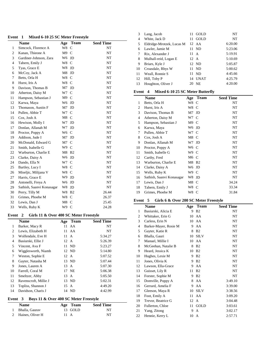#### **Event 1 Mixed 6-10 25 SC Meter Freestyle**

|                | <b>Name</b>               | Age   | <b>Team</b>    | <b>Seed Time</b> |
|----------------|---------------------------|-------|----------------|------------------|
| 1              | Simcock, Florence A       | W8    | $\mathbf C$    | NT               |
| 2              | Kanan, Thieone A          | M9    | $\mathsf{C}$   | NT               |
| 3              | Gardiner-Johnson, Zara    | W6    | JD             | NT               |
| $\overline{4}$ | Tabern, Emily J           | W8    | $\mathsf{C}$   | NT               |
| 5              | Tyas, Grace E             | W8.   | JD             | NT               |
| 6              | McCoy, Jack A             | M8    | JD             | NT               |
| $\tau$         | Betts, Orla H             | W8    | $\mathsf{C}$   | NT               |
| 8              | Hurst, Iris A             | W8    | $\mathsf{C}$   | NT               |
| 9              | Davison, Thomas B         | M7    | JD             | NT               |
| 10             | Atherton, Daisy M         | W7    | $\mathsf{C}$   | NT               |
| 11             | Hampson, Sebastian J      | M9    | $\mathsf{C}$   | NT               |
| 12             | Karwa, Maya               | W6    | JD             | NT               |
| 13             | Thomason, Austin F        | M7    | JD             | NT               |
| 14             | Pullen, Abbie T           | W7    | $\mathsf{C}$   | NT               |
| 15             | Cox, Josh A               | M8    | $\mathsf{C}$   | NT               |
| 16             | Hewison, Molly I          | W7    | JD             | NT               |
| 17             | Donlan, Allanah M         | W7    | JD             | NT               |
| 18             | Proctor, Poppy A          | W6    | $\mathsf{C}$   | NT               |
| 19             | Addison, Jude I           | M7    | JD             | NT               |
| 20             | McDonald, Edward G        | M7    | $\mathsf{C}$   | NT               |
| 21             | Smith, Isabelle G         | W9    | $\mathsf{C}$   | NT               |
| 22             | Warburton, Charlie E      | M8    | B <sub>2</sub> | NT               |
| 23             | Clarke, Daisy A           | W6    | JD             | NT               |
| 24             | Dando, Ella N             | W7 C  |                | NT               |
| 25             | Bartley, Lucy I           | W8    | $\mathcal{C}$  | NT               |
| 26             | Miseljic, Milijana V      | W8    | $\mathsf{C}$   | NT               |
| 27             | Harris, Grace E           | W9    | JD             | NT               |
| 28             | Antonelli, Freya A        | W6    | JD             | NT               |
| 29             | Sathish, Saanvi Konasagar | W8    | JD             | NT               |
| 30             | Perry, Tilly M            | W8 B2 |                | 26.44            |
| 31             | Grimes, Phoebe M          | W8    | $\mathsf{C}$   | 26.37            |
| 32             | Lewis, Dan J              | M8    | $\mathcal{C}$  | 25.45            |
| 33             | Wells, Ruby K             | W9    | $\overline{C}$ | 24.28            |

#### **Event 2 Girls 11 & Over 400 SC Meter Freestyle**

|    | <b>Name</b>           | Age  | <b>Team</b> | <b>Seed Time</b> |
|----|-----------------------|------|-------------|------------------|
| 1  | Barker, Macy R        | 11   | AA          | NT               |
| 2  | Lewis, Elizabeth H    |      | 11 AA       | NT               |
| 3  | Wolfendale, Eve H     | 11 A |             | 5:34.27          |
| 4  | Basiurski, Ellie J    | 12 A |             | 5:26.39          |
| 5  | Vincent, Ava F        |      | 11 ND       | 5:23.27          |
| 6  | Wigglesworth, Niamh   |      | 12 ND       | 5:14.80          |
| 7  | Weston, Sophie E      | 12 A |             | 5:07.52          |
| 8  | Gayter, Natasha M     |      | 13 ND       | 5:07.44          |
| 9  | Jones, Lauren A       | 13 A |             | 5:07.30          |
| 10 | Farrell, Coral M      |      | 17 NE       | 5:06.38          |
| 11 | Smeltzer, Abby        | 13 A |             | 5:05.50          |
| 12 | Ravenscroft, Millie J |      | 13 ND       | 5:02.31          |
| 13 | Topliss, Shannon J    | 15 A |             | 4:49.20          |
| 14 | Davidson, Charis J    |      | 14 ND       | 4:42.99          |
|    |                       |      |             |                  |

## **Event 3 Boys 11 & Over 400 SC Meter Freestyle**

| <b>Name</b>        |      | Age Team | <b>Seed Time</b> |
|--------------------|------|----------|------------------|
| 1 Bhalla, Gauray   |      | 13 GOLD  | NT               |
| 2 Haines, Oliver H | 11 A |          | NT               |

| 3  | Lang, Jacob               | GOL D<br>11     | NT        |
|----|---------------------------|-----------------|-----------|
| 4  | White, Jack D             | GOLD<br>11      | <b>NT</b> |
| 5  | Eldridge-Mrotzek, Lucas M | 12 AA           | 6:20.00   |
| 6  | Lawler, Jamie M           | 11 ND           | 5:23.06   |
| 7  | Rix, Alexander J          | 11<br>A         | 5:19.91   |
| 8  | Mulhall-reid, Logan E     | 12 A            | 5:10.69   |
| 9  | Briars, Kyle J            | 12 ND           | 5:05.87   |
| 10 | Croasdale, Rhys W         | -ND<br>11       | 5:00.62   |
| 11 | Weall, Ronnie S           | <b>ND</b><br>11 | 4:45.66   |
| 12 | Hill, Toby P              | UNAT<br>14      | 4:25.79   |
| 13 | Houghton, Oliver J        | <b>NE</b>       | 4:20.00   |

#### **Event 4 Mixed 6-10 25 SC Meter Butterfly**

|    | Name                      | Age  | Team           | <b>Seed Time</b> |
|----|---------------------------|------|----------------|------------------|
| 1  | Betts, Orla H             | W8   | C              | NT               |
| 2  | Hurst, Iris A             | W8   | C              | NT               |
| 3  | Davison, Thomas B         | M7   | JD             | NT               |
| 4  | Atherton, Daisy M         | W7 C |                | NT               |
| 5  | Hampson, Sebastian J      | M9 C |                | NT               |
| 6  | Karwa, Maya               | W6.  | JD             | NT               |
| 7  | Pullen, Abbie T           | W7   | - C            | NT               |
| 8  | Cox, Josh A               | M8   | C              | NT               |
| 9  | Donlan, Allanah M         | W7.  | JD             | NT               |
| 10 | Proctor, Poppy A          | W6 C |                | NT               |
| 11 | Smith, Isabelle G         | W9 C |                | NT               |
| 12 | Carthy, Fred              | M6 C |                | NT               |
| 13 | Warburton, Charlie E      | M8   | <b>B2</b>      | NT               |
| 14 | Clarke, Daisy A           | W6   | JD             | NT               |
| 15 | Wells, Ruby K             | W9 C |                | NT               |
| 16 | Sathish, Saanvi Konasagar | W8.  | JD             | NT               |
| 17 | Lewis, Dan J              | M8   | <sup>-</sup> C | 34.24            |
| 18 | Tabern, Emily J           | W8   | <sup>-</sup> C | 33.34            |
| 19 | Grimes, Phoebe M          | W8.  | C              | 31.84            |

#### **Event 5 Girls 6 & Over 200 SC Meter Freestyle**

|    | Name                  | Age  | <b>Team</b>    | <b>Seed Time</b> |
|----|-----------------------|------|----------------|------------------|
| 1  | Basiurski, Alicia E   | 9    | B <sub>2</sub> | NT               |
| 2  | Whittaker, Erin G     | 10   | AA             | NT               |
| 3  | Carless, Erin N       |      | 10 AA          | NT               |
| 4  | Barker-Mayer, Rosie M | 9    | AA             | NT               |
| 5  | Gayter, Katie R       | 8    | B <sub>2</sub> | NT               |
| 6  | Bhalla, Gauri         | 10   | <b>SILV</b>    | NT               |
| 7  | Manuel, Millie I      |      | 10 AA          | NT               |
| 8  | McGeehan, Natalie B   | 8    | B <sub>2</sub> | NT               |
| 9  | Heard, Jessica K      | 10   | B <sub>2</sub> | NT               |
| 10 | Hughes, Lexie M       | 9    | B <sub>2</sub> | NT               |
| 11 | Jones, Olivia K       | 9    | B <sub>2</sub> | NT               |
| 12 | Lawson, Ella-Grace    | 9    | AA             | NT               |
| 13 | Guisset, Lily R       | 11   | B <sub>2</sub> | NT               |
| 14 | Forster, Sophie M     | 9    | B <sub>2</sub> | NT               |
| 15 | Domville, Poppy A     | 8    | AA             | 3:49.10          |
| 16 | Gerrard, Amelia F     | 9    | AA             | 3:39.00          |
| 17 | Gleeson, Maya R       | 10   | <b>SILV</b>    | 3:38.56          |
| 18 | Foot, Emily A         | 11   | AA             | 3:09.20          |
| 19 | Trevor, Beatrice G    | 12 A |                | 3:04.48          |
| 20 | Fullerton, Chloe      | 11   | GOLD           | 3:03.61          |
| 21 | Yang, Zitong          | 9    | $\mathbf{A}$   | 3:02.17          |
| 22 | Hennie, Kerry L       | 10   | A              | 2:57.71          |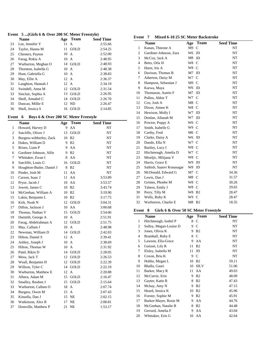## **Event 5 ...(Girls 6 & Over 200 SC Meter Freestyle)**

|    | Name                 | Age            | <b>Team</b> | <b>Seed Time</b> |
|----|----------------------|----------------|-------------|------------------|
| 23 | Lee, Jennifer Y      | 11             | A           | 2:55.66          |
| 24 | Taylor, Hanna M      | 11             | GOLD        | 2:54.25          |
| 25 | Chesters, Payton     | 10 A           |             | 2:52.00          |
| 26 | Farag, Rokia A       | 10 A           |             | 2:48.95          |
| 27 | Warburton, Meghan O  |                | 14 GOLD     | 2:48.93          |
| 28 | Thornton, Isabella G | 10 A           |             | 2:48.38          |
| 29 | Hunt, Gabriella G    | $10 \text{ A}$ |             | 2:38.83          |
| 30 | May, Ellie A         | 12 A           |             | 2:36.37          |
| 31 | Laughton, Hannah J   | 12 A           |             | 2:34.19          |
| 32 | Swindell, Anna M     | 12             | GOLD        | 2:31.54          |
| 33 | Sinclair, Sophia A   | 13             | GOLD        | 2:26.95          |
| 34 | Sholl, Annabel C     | 14             | GOLD        | 2:26.70          |
| 35 | Duncan, Millie E     |                | 12 ND       | 2:26.47          |
| 36 | Sholl, Jessica S     | 16             | GOLD        | 2:14.85          |

#### **Event 6 Boys 6 & Over 200 SC Meter Freestyle**

|                | <b>Name</b>               | Age  | <b>Team</b>           | <b>Seed Time</b> |
|----------------|---------------------------|------|-----------------------|------------------|
| 1              | Howard, Harvey D          | 9    | AA                    | NT               |
| $\overline{c}$ | Sutcliffe, Oliver J       | 13   | <b>GOLD</b>           | NT               |
| 3              | Burgess-wibberley, Zack   | 10   | B <sub>2</sub>        | NT               |
| 4              | Dukes, William D          | 9    | B <sub>2</sub>        | NT               |
| 5              | Briars, Liam P            | 9    | AA                    | NT               |
| 6              | Gardiner-Johnson, Alfie   | 9    | B <sub>2</sub>        | NT               |
| 7              | Whittaker, Ewan I         | 8    | AA                    | NT               |
| 8              | Sutcliffe, Louis G        | 16   | <b>GOLD</b>           | NT               |
| 9              | Houghton-Butler, Daniel J | 8    | B <sub>2</sub>        | NT               |
| 10             | Pinder, Josh M            | 11   | AA                    | NT               |
| 11             | Carson, Isaac J           | 11 - | AA                    | 3:53.89          |
| 12             | Pryor, Jacob J            | 10   | AA                    | 3:53.57          |
| 13             | Jowett, James C           | 10   | B <sub>2</sub>        | 3:43.74          |
| 14             | McGeehan, William A       | 10   | B <sub>2</sub>        | 3:19.90          |
| 15             | Lakin, Benjamin L         | 10   | B <sub>2</sub>        | 3:17.75          |
| 16             | Kirk, Noah N              | 12   | $\operatorname{GOLD}$ | 3:04.31          |
| 17             | Dillon, Jackson J         | 10   | AA                    | 3:00.68          |
| 18             | Thomas, Nathan V          | 15   | <b>GOLD</b>           | 2:54.06          |
| 19             | Daintith, George A        | 10   | A                     | 2:51.91          |
| 20             | Farag, Abdelrahman A      | 12   | <b>GOLD</b>           | 2:51.75          |
| 21             | May, Callum J             | 10   | A                     | 2:48.98          |
| 22             | Newman, William D         | 14   | <b>GOLD</b>           | 2:42.03          |
| 23             | Hilton, Daniel S          | 12   | A                     | 2:39.41          |
| 24             | Ashley, Joseph J          | 10   | $\mathsf{A}$          | 2:38.69          |
| 25             | Hilton, Thomas W          | 10   | A                     | 2:31.92          |
| 26             | Patel, Rikin D            | 14   | GOLD                  | 2:28.05          |
| 27             | Moss, Jack T              | 12   | GOLD                  | 2:26.53          |
| 28             | Weall, Benjamin H         | 12   | <b>GOLD</b>           | 2:22.39          |
| 29             | Willson, Tyler C          | 14   | <b>GOLD</b>           | 2:22.19          |
| 30             | Warburton, Matthew E      | 12   | A                     | 2:20.88          |
| 31             | Albera, Adam M            | 15   | <b>GOLD</b>           | 2:16.47          |
| 32             | Smalley, Reuben J         | 15   | GOLD                  | 2:15.64          |
| 33             | Warburton, Callum O       | 18   | A                     | 2:07.74          |
| 34             | Burgess, Owen M           | 15   | A                     | 2:07.43          |
| 35             | Kinsella, Dan J           | 15   | NE                    | 2:02.15          |
| 36             | Watkinson, Alex R         | 17   | NE                    | 2:00.81          |
| 37             | Domville, Matthew P       | 21   | <b>NE</b>             | 1:53.17          |

#### **Event 7 Mixed 6-10 25 SC Meter Backstroke**

|                | <b>Name</b>               | Age            | <b>Team</b>    | <b>Seed Time</b> |
|----------------|---------------------------|----------------|----------------|------------------|
| $\mathbf{1}$   | Kanan, Thieone A          | M9             | $\mathsf{C}$   | NT               |
| $\overline{c}$ | Gardiner-Johnson, Zara    | W6             | JD             | NT               |
| 3              | McCoy, Jack A             | M8             | JD             | NT               |
| 4              | Betts, Orla H             | W8             | $\mathcal{C}$  | NT               |
| 5              | Hurst, Iris A             | W8             | $\mathsf{C}$   | NT               |
| 6              | Davison, Thomas B         | M7             | JD             | NT               |
| 7              | Atherton, Daisy M         | W7             | $\mathsf{C}$   | NT               |
| 8              | Hampson, Sebastian J      | M9             | C              | NT               |
| 9              | Karwa, Maya               | W <sub>6</sub> | JD             | NT               |
| 10             | Thomason, Austin F        | M7             | JD             | NT               |
| 11             | Pullen, Abbie T           | W7             | $\mathcal{C}$  | NT               |
| 12             | Cox, Josh A               | M8             | $\mathsf{C}$   | NT               |
| 13             | Dixon, Aimee K            | W8             | $\mathsf{C}$   | NT               |
| 14             | Hewison, Molly I          | W7             | JD             | NT               |
| 15             | Donlan, Allanah M         | W7             | JD             | NT               |
| 16             | Proctor, Poppy A          | W6             | $\mathcal{C}$  | NT               |
| 17             | Smith, Isabelle G         | W9             | $\mathcal{C}$  | NT               |
| 18             | Carthy, Fred              | M6             | $\mathcal{C}$  | NT               |
| 19             | Clarke, Daisy A           | W6             | JD             | NT               |
| 20             | Dando, Ella N             | W7             | $\mathcal{C}$  | NT               |
| 21             | Bartley, Lucy I           | W8             | $\mathcal{C}$  | NT               |
| 22             | Hitchmough, Amelia D      | W7             | C              | NT               |
| 23             | Miseljic, Milijana V      | W8             | $\mathcal{C}$  | NT               |
| 24             | Harris, Grace E           | W9             | JD             | NT               |
| 25             | Sathish, Saanvi Konasagar | W8             | JD             | NT               |
| 26             | McDonald, Edward G        | M7             | $\mathcal{C}$  | 34.36            |
| 27             | Lewis, Dan J              | M8             | $\mathcal{C}$  | 31.57            |
| 28             | Grimes, Phoebe M          | W8             | C              | 30.26            |
| 29             | Tabern, Emily J           | W8             | $\mathcal{C}$  | 29.65            |
| 30             | Perry, Tilly M            | W8             | B <sub>2</sub> | 28.47            |
| 31             | Wells, Ruby K             | W9             | $\mathsf{C}$   | 28.47            |
| 32             | Warburton, Charlie E      | M8             | B <sub>2</sub> | 18.35            |

#### **Event 8 Girls 6 & Over 50 SC Meter Freestyle**

|              | <b>Name</b>            | Age | Team           | <b>Seed Time</b> |
|--------------|------------------------|-----|----------------|------------------|
| $\mathbf{1}$ | Hitchmough, Isobel P   | 8   | C              | NT               |
| 2            | Sulley, Megan-Louise D | 9   | C              | NT               |
| 3            | Jones, Olivia K        | 9   | B <sub>2</sub> | NT               |
| 4            | Bramhall, Ruby E       | 8   | C              | NT               |
| 5            | Lawson, Ella-Grace     | 9   | AA             | NT               |
| 6            | Guisset, Lily R        | 11  | B <sub>2</sub> | NT               |
| 7            | Elsley, Isabella M     | 11  | JD             | NT               |
| 8            | Coxon, Bria K          | 9   | $\mathcal{C}$  | NT               |
| 9            | Hobbs, Megan L         | 10  | B <sub>2</sub> | 59.11            |
| 10           | Bhalla, Gauri          | 10  | <b>SILV</b>    | 51.06            |
| 11           | Barker, Macy R         | 11  | AA             | 49.03            |
| 12           | McCurrie, Erin         | 9   | B <sub>2</sub> | 48.09            |
| 13           | Gayter, Katie R        | 8   | B <sub>2</sub> | 47.43            |
| 14           | Mckay, Amy N           | 9   | B <sub>2</sub> | 47.15            |
| 15           | Heard, Jessica K       | 10  | B <sub>2</sub> | 45.96            |
| 16           | Forster, Sophie M      | 9   | B <sub>2</sub> | 45.91            |
| 17           | Barker-Mayer, Rosie M  | 9   | AA             | 44.76            |
| 18           | McGeehan, Natalie B    | 8   | B <sub>2</sub> | 44.48            |
| 19           | Gerrard, Amelia F      | 9   | AA             | 43.04            |
| 20           | Whittaker, Erin G      |     | 10 AA          | 42.64            |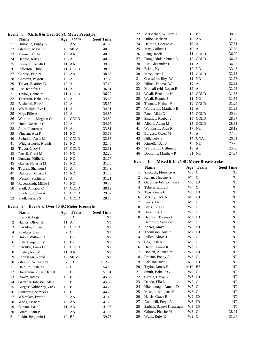#### **Event 8 ...(Girls 6 & Over 50 SC Meter Freestyle)**

|    | <b>Name</b>           | Age | <b>Team</b>    | <b>Seed Time</b> |
|----|-----------------------|-----|----------------|------------------|
| 21 | Domville, Poppy A     | 8   | AA             | 41.68            |
| 22 | Gleeson, Maya R       | 10  | <b>SILV</b>    | 40.96            |
| 23 | Manuel, Millie I      | 10  | AA             | 40.95            |
| 24 | Hennie, Kerry L       | 10  | A              | 40.36            |
| 25 | Lewis, Elizabeth H    | 11  | AA             | 39.56            |
| 26 | Fullerton, Chloe      | 11  | GOLD           | 38.93            |
| 27 | Carless, Erin N       | 10  | AA             | 38.38            |
| 28 | Chesters, Payton      | 10  | A              | 37.69            |
| 29 | Trevor, Beatrice G    | 12  | A              | 37.10            |
| 30 | Lee, Jennifer Y       | 11  | A              | 36.81            |
| 31 | Taylor, Hanna M       | 11  | <b>GOLD</b>    | 36.22            |
| 32 | Thornton, Isabella G  | 10  | A              | 35.63            |
| 33 | Basiurski, Ellie J    | 12  | A              | 35.37            |
| 34 | Wolfendale, Eve H     | 11  | $\overline{A}$ | 34.91            |
| 35 | May, Ellie A          | 12  | A              | 34.87            |
| 36 | Warburton, Meghan O   | 14  | GOLD           | 34.82            |
| 37 | Hunt, Gabriella G     | 10  | A              | 34.17            |
| 38 | Jones, Lauren A       | 13  | A              | 33.81            |
| 39 | Vincent, Ava F        | 11  | ND             | 33.63            |
| 40 | Swindell, Anna M      | 12  | <b>GOLD</b>    | 32.66            |
| 41 | Wigglesworth, Niamh   | 12  | ND             | 32.46            |
| 42 | Trevor, Lucy S        | 15  | GOLD           | 32.31            |
| 43 | Farrell, Coral M      | 17  | NE             | 32.26            |
| 44 | Duncan, Millie E      | 12  | ND             | 31.77            |
| 45 | Gayter, Natasha M     | 13  | ND             | 31.58            |
| 46 | Topliss, Shannon J    | 15  | A              | 31.49            |
| 47 | Davidson, Charis J    | 14  | <b>ND</b>      | 31.46            |
| 48 | Weston, Sophie E      | 12  | A              | 31.21            |
| 49 | Ravenscroft, Millie J | 13  | <b>ND</b>      | 30.23            |
| 50 | Sholl, Annabel C      | 14  | <b>GOLD</b>    | 30.19            |
| 51 | Sinclair, Sophia A    | 13  | GOLD           | 29.87            |
| 52 | Sholl, Jessica S      | 16  | <b>GOLD</b>    | 28.78            |

#### **Event 9 Boys 6 & Over 50 SC Meter Freestyle**

|    | <b>Name</b>               | Age | Team           | <b>Seed Time</b> |
|----|---------------------------|-----|----------------|------------------|
| 1  | Prescott, Logan           | 8   | JD             | NT               |
| 2  | Haines, Oliver H          | 11  | A              | NT               |
| 3  | Sutcliffe, Oliver J       | 13  | <b>GOLD</b>    | NT               |
| 4  | Smeltzer, Ben             | 7   | C              | NT               |
| 5  | Dukes, William D          | 9   | B <sub>2</sub> | NT               |
| 6  | Pratt, Benjamin M         | 10  | B <sub>2</sub> | NT               |
| 7  | Sutcliffe, Louis G        | 16  | GOLD           | NT               |
| 8  | Pinder, Josh M            | 11  | AA             | NT               |
| 9  | Kshirsagar, Varad T       | 13  | <b>SILV</b>    | NT               |
| 10 | Gleeson, William N        | 7   | JD             | 1:12.20          |
| 11 | Daintith, Joshua L        | 7   | C              | 54.96            |
| 12 | Houghton-Butler, Daniel J | 8   | B <sub>2</sub> | 51.81            |
| 13 | Jowett, James C           | 10  | B <sub>2</sub> | 45.62            |
| 14 | Gardiner-Johnson, Alfie   | 9   | B <sub>2</sub> | 45.32            |
| 15 | Burgess-wibberley, Zack   | 10  | B <sub>2</sub> | 44.26            |
| 16 | Clitherow, Samuel L       | 10  | B <sub>2</sub> | 44.20            |
| 17 | Whittaker, Ewan I         | 8   | AA             | 41.40            |
| 18 | Wong, Isaac Y             | 10  | AA             | 41.23            |
| 19 | Carson, Isaac J           | 11  | AA             | 41.08            |
| 20 | Briars, Liam P            | 9   | AA             | 41.05            |
| 21 | Lakin, Benjamin L         | 10  | B <sub>2</sub> | 39.76            |
|    |                           |     |                |                  |

| 22 | McGeehan, William A   | 10<br>B <sub>2</sub> | 38.66 |
|----|-----------------------|----------------------|-------|
| 23 | Dillon, Jackson J     | 10<br>AA             | 37.98 |
| 24 | Daintith, George A    | 10<br>A              | 37.81 |
| 25 | May, Callum J         | 10<br>A              | 37.59 |
| 26 | Lang, Jacob           | 11<br>GOLD           | 36.90 |
| 27 | Farag, Abdelrahman A  | 12<br>GOLD           | 36.48 |
| 28 | Rix, Alexander J      | 11<br>A              | 34.57 |
| 29 | Briars, Kyle J        | 12<br>ND             | 33.48 |
| 30 | Moss, Jack T          | 12<br>GOLD           | 33.33 |
| 31 | Croasdale, Rhys W     | ND<br>11             | 32.78 |
| 32 | Hilton, Thomas W      | 10<br>A              | 32.62 |
| 33 | Mulhall-reid, Logan E | 12<br>A              | 32.23 |
| 34 | Weall, Benjamin H     | GOLD<br>12           | 31.68 |
| 35 | Weall, Ronnie S       | N <sub>D</sub><br>11 | 31.53 |
| 36 | Thomas, Nathan V      | 15<br>GOLD           | 31.24 |
| 37 | Warburton, Matthew E  | A<br>12              | 31.23 |
| 38 | Patel, Rikin D        | GOLD<br>14           | 30.76 |
| 39 | Smalley, Reuben J     | GOLD<br>15           | 28.87 |
| 40 | Albera, Adam M        | GOLD<br>15           | 28.81 |
| 41 | Watkinson, Alex R     | NE<br>17             | 28.19 |
| 42 | Burgess, Owen M       | 15<br>A              | 27.83 |
| 43 | Hill, Toby P          | 14<br><b>UNAT</b>    | 26.61 |
| 44 | Kinsella, Dan J       | <b>NE</b><br>15      | 25.78 |
| 45 | Warburton, Callum O   | 18<br>A              | 25.60 |
| 46 | Domville, Matthew P   | 21<br><b>NE</b>      | 24.24 |

# **Event 10 Mixed 6-10 25 SC Meter Breaststroke**

|                | <b>Name</b>               | Age              | <b>Team</b>    | <b>Seed Time</b> |
|----------------|---------------------------|------------------|----------------|------------------|
| $\mathbf{1}$   | Simcock, Florence A       | W8               | C              | NT               |
| 2              | Kanan, Thieone A          | $M9$ C           |                | NT               |
| 3              | Gardiner-Johnson, Zara    | W6               | JD             | NT               |
| $\overline{4}$ | Tabern, Emily J           | W8               | $\mathcal{C}$  | NT               |
| 5              | Tyas, Grace E             | W8               | JD             | NT               |
| 6              | McCoy, Jack A             | M8               | JD             | NT               |
| 7              | Lewis, Dan J              | M8               | $\mathcal{C}$  | NT               |
| 8              | Betts, Orla H             | W8 C             |                | NT               |
| 9              | Hurst, Iris A             | W8 C             |                | NT               |
| 10             | Davison, Thomas B         | M7               | JD             | NT               |
| 11             | Hampson, Sebastian J      | M9               | $\mathsf{C}$   | NT               |
| 12             | Karwa, Maya               | W6               | JD             | NT               |
| 13             | Thomason, Austin F        | M7               | JD             | NT               |
| 14             | Pullen, Abbie T           | W7               | $\mathcal{C}$  | NT               |
| 15             | Cox, Josh A               | M8 C             |                | NT               |
| 16             | Dixon, Aimee K            | W8               | $\mathsf{C}$   | NT               |
| 17             | Donlan, Allanah M         | W7               | JD             | NT               |
| 18             | Proctor, Poppy A          | W <sub>6</sub> C |                | NT               |
| 19             | Addison, Jude I           | M7               | JD             | NT               |
| 20             | Taylor, James H           | M10              | B <sub>2</sub> | NT               |
| 21             | Smith, Isabelle G         | W9 C             |                | NT               |
| 22             | Clarke, Daisy A           | W6 JD            |                | NT               |
| 23             | Dando, Ella N             | W7               | $\mathcal{C}$  | NT               |
| 24             | Hitchmough, Amelia D      | W7 C             |                | NT               |
| 25             | Miseljic, Milijana V      | W8 C             |                | NT               |
| 26             | Harris, Grace E           | W9               | JD             | NT               |
| 27             | Antonelli, Freya A        | W6               | JD             | NT               |
| 28             | Sathish, Saanvi Konasagar | W8               | JD             | NT               |
| 29             | Grimes, Phoebe M          | W8               | $\mathcal{C}$  | 38.91            |
| 30             | Wells, Ruby K             | W9               | $\mathcal{C}$  | 31.84            |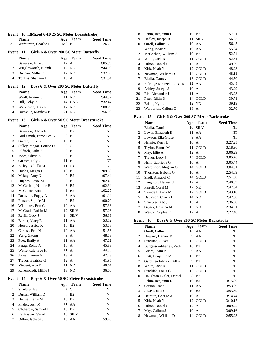|  |  | Event 10 (Mixed 6-10 25 SC Meter Breaststroke) |
|--|--|------------------------------------------------|
|--|--|------------------------------------------------|

| <b>Name</b>          | Age Team | <b>Seed Time</b> |
|----------------------|----------|------------------|
| Warburton, Charlie E | M8 B2    | 26.72            |

#### **Event 11 Girls 6 & Over 200 SC Meter Butterfly**

|   | <b>Name</b>         |      | Age Team | <b>Seed Time</b> |  |
|---|---------------------|------|----------|------------------|--|
|   | Basiurski, Ellie J  | 12 A |          | 3:05.39          |  |
|   | Wigglesworth, Niamh |      | 12 ND    | 2:44.50          |  |
| 3 | Duncan, Millie E    |      | 12 ND    | 2:37.10          |  |
|   | Topliss, Shannon J  | 15 A |          | 2:31.54          |  |

# **Event 12 Boys 6 & Over 200 SC Meter Butterfly**

|   | <b>Name</b>         | Age Team | <b>Seed Time</b> |
|---|---------------------|----------|------------------|
|   | Weall, Ronnie S     | 11 ND    | 2:44.92          |
|   | 2 Hill, Toby P      | 14 UNAT  | 2:32.44          |
| 3 | Watkinson, Alex R   | 17 NE    | 2:08.29          |
|   | Domville, Matthew P | 21 NE    | 1:56.00          |

#### **Event 13 Girls 6 & Over 50 SC Meter Breaststroke**

|    | <b>Name</b>            | Age | Team           | <b>Seed Time</b> |
|----|------------------------|-----|----------------|------------------|
| 1  | Basiurski, Alicia E    | 9   | B <sub>2</sub> | NT               |
| 2  | Bird-Smith, Esme-Lee K | 8   | B <sub>2</sub> | NT               |
| 3  | Goldie, Elize L        | 10  | B <sub>2</sub> | NT               |
| 4  | Sulley, Megan-Louise D | 9   | $\mathsf{C}$   | NT               |
| 5  | Pilditch, Erika S      | 9   | B <sub>2</sub> | NT               |
| 6  | Jones, Olivia K        | 9   | B <sub>2</sub> | NT               |
| 7  | Guisset, Lily R        | 11  | B <sub>2</sub> | NT               |
| 8  | Elsley, Isabella M     | 11  | JD             | NT               |
| 9  | Hobbs, Megan L         | 10  | B <sub>2</sub> | 1:09.98          |
| 10 | Mckay, Amy N           | 9   | B <sub>2</sub> | 1:07.44          |
| 11 | Hughes, Lexie M        | 9   | B <sub>2</sub> | 1:02.45          |
| 12 | McGeehan, Natalie B    | 8   | B <sub>2</sub> | 1:02.34          |
| 13 | McCurrie, Erin         | 9   | B <sub>2</sub> | 1:02.25          |
| 14 | Domville, Poppy A      | 8   | AA             | 1:01.14          |
| 15 | Forster, Sophie M      | 9   | B <sub>2</sub> | 1:00.70          |
| 16 | Whittaker, Erin G      | 10  | AA             | 57.38            |
| 17 | McGrath, Roisin M      | 12  | <b>SILV</b>    | 57.26            |
| 18 | Revill, Lucy J         | 14  | <b>SILV</b>    | 56.33            |
| 19 | Barker, Macy R         | 11  | AA             | 53.52            |
| 20 | Heard, Jessica K       | 10  | B <sub>2</sub> | 53.08            |
| 21 | Carless, Erin N        | 10  | AA             | 51.53            |
| 22 | Yang, Zitong           | 9   | $\overline{A}$ | 48.73            |
| 23 | Foot, Emily A          | 11  | AA             | 47.62            |
| 24 | Farag, Rokia A         | 10  | $\mathbf{A}$   | 45.83            |
| 25 | Wolfendale, Eve H      | 11  | A              | 44.95            |
| 26 | Jones, Lauren A        | 13  | A              | 42.28            |
| 27 | Trevor, Beatrice G     | 12  | A              | 41.95            |
| 28 | Vincent, Ava F         | 11  | ND             | 40.14            |
| 29 | Ravenscroft, Millie J  | 13  | ND             | 36.00            |

## **Event 14 Boys 6 & Over 50 SC Meter Breaststroke**

|   | <b>Name</b>         | Age | Team              | <b>Seed Time</b> |
|---|---------------------|-----|-------------------|------------------|
|   | Smeltzer, Ben       |     | 7 C               | NT               |
|   | Dukes, William D    |     | 9 B <sub>2</sub>  | NT               |
|   | Holme, Harry M      |     | 10 B <sub>2</sub> | NT               |
|   | Pinder, Josh M      |     | 11 AA             | NT               |
|   | Clitherow, Samuel L |     | 10 B <sub>2</sub> | NT               |
| 6 | Kshirsagar, Varad T |     | 13 SILV           | NT               |
|   | Dillon, Jackson J   |     | AA                | 59.20            |

| 8  | Lakin, Benjamin L         | 10<br>B <sub>2</sub> | 57.61 |
|----|---------------------------|----------------------|-------|
| 9  | Hadley, Joseph R          | <b>SILV</b><br>11    | 56.93 |
| 10 | Orrell, Callum L          | 10 AA                | 56.45 |
| 11 | Wong, Isaac Y             | 10 AA                | 55.04 |
| 12 | McGeehan, William A       | <b>B2</b><br>10      | 52.74 |
| 13 | White, Jack D             | GOLD<br>11           | 52.31 |
| 14 | Hilton, Daniel S          | 12 A                 | 49.99 |
| 15 | Kirk, Noah N              | 12 GOLD              | 48.28 |
| 16 | Newman, William D         | <b>GOLD</b><br>14    | 48.11 |
| 17 | Bhalla, Gaurav            | GOLD<br>13           | 44.50 |
| 18 | Eldridge-Mrotzek, Lucas M | 12 AA                | 43.48 |
| 19 | Ashley, Joseph J          | 10 A                 | 43.29 |
| 20 | Rix, Alexander J          | 11<br>A              | 43.23 |
| 21 | Patel, Rikin D            | 14 GOLD              | 39.71 |
| 22 | Briars, Kyle J            | 12 ND                | 39.19 |
| 23 | Warburton, Callum O       | 18 A                 | 32.70 |

#### **Event 15 Girls 6 & Over 200 SC Meter Backstroke**

|              | Name                 | Age  | <b>Team</b> | <b>Seed Time</b> |
|--------------|----------------------|------|-------------|------------------|
| $\mathbf{1}$ | Bhalla, Gauri        | 10   | <b>SILV</b> | NT               |
| 2            | Lewis, Elizabeth H   | 11   | AA          | NT               |
| 3            | Lawson, Ella-Grace   | 9.   | AA          | NT               |
| 4            | Hennie, Kerry L      | 10 A |             | 3:27.25          |
| 5            | Taylor, Hanna M      | 11   | GOLD        | 3:18.96          |
| 6            | May, Ellie A         | 12 A |             | 3:06.29          |
| 7            | Trevor, Lucy S       |      | 15 GOLD     | 3:05.76          |
| 8            | Hunt, Gabriella G    | 10 A |             | 3:05.44          |
| 9            | Warburton, Meghan O  |      | 14 GOLD     | 3:04.61          |
| 10           | Thornton, Isabella G | 10 A |             | 2:54.69          |
| 11           | Sholl, Annabel C     |      | 14 GOLD     | 2:51.60          |
| 12           | Laughton, Hannah J   | 12 A |             | 2:48.39          |
| 13           | Farrell, Coral M     |      | 17 NE       | 2:47.64          |
| 14           | Swindell, Anna M     |      | 12 GOLD     | 2:43.10          |
| 15           | Davidson, Charis J   |      | 14 ND       | 2:42.88          |
| 16           | Smeltzer, Abby       | 13 A |             | 2:36.90          |
| 17           | Gayter, Natasha M    |      | 13 ND       | 2:34.51          |
| 18           | Weston, Sophie E     | 12 A |             | 2:27.48          |

#### **Event 16 Boys 6 & Over 200 SC Meter Backstroke**

|    | <b>Name</b>               |      | Age Team          | <b>Seed Time</b> |
|----|---------------------------|------|-------------------|------------------|
| 1  | Orrell, Callum L          | 10   | AA                | NT               |
| 2  | Howard, Harvey D          | 9    | AA                | NT               |
| 3  | Sutcliffe, Oliver J       | 13   | GOLD              | NT               |
| 4  | Burgess-wibberley, Zack   | 10   | <b>B2</b>         | NT               |
| 5  | Briars, Liam P            | 9    | AA                | NT               |
| 6  | Pratt, Benjamin M         | 10   | B <sub>2</sub>    | NT               |
| 7  | Gardiner-Johnson, Alfie   | 9    | B <sub>2</sub>    | NT               |
| 8  | White, Jack D             | 11   | GOLD              | NT               |
| 9  | Sutcliffe, Louis G        | 16   | GOLD              | NT               |
| 10 | Houghton-Butler, Daniel J | 8    | B <sub>2</sub>    | NT               |
| 11 | Lakin, Benjamin L         | 10   | B <sub>2</sub>    | 4:15.00          |
| 12 | Carson, Isaac J           |      | 11 AA             | 3:53.89          |
| 13 | Jowett, James C           |      | 10 B <sub>2</sub> | 3:53.39          |
| 14 | Daintith, George A        | 10   | A                 | 3:14.44          |
| 15 | Kirk, Noah N              |      | 12 GOLD           | 3:10.17          |
| 16 | Hilton, Daniel S          | 12 A |                   | 3:09.22          |
| 17 | May, Callum J             | 10 A |                   | 3:09.16          |
| 18 | Newman, William D         |      | 14 GOLD           | 2:55.23          |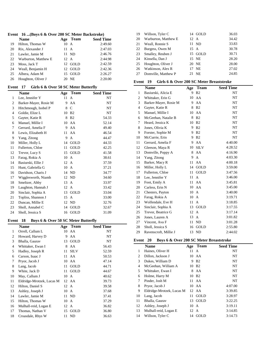|  |  |  |  |  |  |  |  | Event 16  (Boys 6 & Over 200 SC Meter Backstroke) |  |
|--|--|--|--|--|--|--|--|---------------------------------------------------|--|
|--|--|--|--|--|--|--|--|---------------------------------------------------|--|

|    | <b>Name</b>          | <b>Team</b><br>Age | <b>Seed Time</b> |
|----|----------------------|--------------------|------------------|
| 19 | Hilton, Thomas W     | $10 \text{ A}$     | 2:49.60          |
| 20 | Rix. Alexander J     | 11<br>$\mathbf{A}$ | 2:47.03          |
| 21 | Lawler, Jamie M      | 11 ND              | 2:46.76          |
| 22 | Warburton, Matthew E | 12 A               | 2:44.98          |
| 23 | Moss, Jack T         | 12 GOLD            | 2:42.59          |
| 24 | Weall, Benjamin H    | 12 GOLD            | 2:42.36          |
| 25 | Albera, Adam M       | 15 GOLD            | 2:26.27          |
| 26 | Houghton, Oliver J   | 20 NE              | 2:20.00          |

# **Event 17 Girls 6 & Over 50 SC Meter Butterfly**

|                | <b>Name</b>           | Age | <b>Team</b>    | <b>Seed Time</b> |
|----------------|-----------------------|-----|----------------|------------------|
| 1              | Lee, Jennifer Y       | 11  | A              | NT               |
| $\overline{c}$ | Barker-Mayer, Rosie M | 9   | AA             | NT               |
| 3              | Hitchmough, Isobel P  | 8   | $\mathcal{C}$  | NT               |
| 4              | Goldie, Elize L       | 10  | B <sub>2</sub> | NT               |
| 5              | Gayter, Katie R       | 8   | B <sub>2</sub> | 54.33            |
| 6              | Manuel, Millie I      | 10  | AA             | 52.14            |
| 7              | Gerrard, Amelia F     | 9   | AA             | 49.40            |
| 8              | Lewis, Elizabeth H    | 11  | AA             | 46.54            |
| 9              | Yang, Zitong          | 9   | A              | 44.47            |
| 10             | Miller, Holly L       | 14  | GOLD           | 44.33            |
| 11             | Fullerton, Chloe      | 11  | GOLD           | 42.25            |
| 12             | Trevor, Lucy S        | 15  | GOLD           | 41.58            |
| 13             | Farag, Rokia A        | 10  | A              | 38.61            |
| 14             | Basiurski, Ellie J    | 12  | $\mathsf{A}$   | 37.59            |
| 15             | Hunt, Gabriella G     | 10  | $\mathsf{A}$   | 37.21            |
| 16             | Davidson, Charis J    | 14  | ND.            | 34.77            |
| 17             | Wigglesworth, Niamh   | 12  | ND             | 34.60            |
| 18             | Smeltzer, Abby        | 13  | A              | 33.97            |
| 19             | Laughton, Hannah J    | 12  | A              | 33.42            |
| 20             | Sinclair, Sophia A    | 13  | GOLD           | 33.04            |
| 21             | Topliss, Shannon J    | 15  | $\mathbf{A}$   | 33.00            |
| 22             | Duncan, Millie E      | 12  | ND             | 32.76            |
| 23             | Sholl, Annabel C      | 14  | GOLD           | 32.67            |
| 24             | Sholl, Jessica S      | 16  | <b>GOLD</b>    | 31.09            |

## **Event 18 Boys 6 & Over 50 SC Meter Butterfly**

|    | Name                      | Age  | <b>Team</b> | <b>Seed Time</b> |
|----|---------------------------|------|-------------|------------------|
| 1  | Orrell, Callum L          | 10   | AA          | NT               |
| 2  | Howard, Harvey D          | 9    | AA          | NT               |
| 3  | Bhalla, Gaurav            | 13   | GOLD        | NT               |
| 4  | Whittaker, Ewan I         | 8    | AA          | 56.43            |
| 5  | Hadley, Joseph R          | 11   | <b>SILV</b> | 52.59            |
| 6  | Carson, Isaac J           | 11   | AA          | 50.53            |
| 7  | Pryor, Jacob J            | 10   | AA          | 47.14            |
| 8  | Lang, Jacob               | 11   | GOLD        | 44.71            |
| 9  | White, Jack D             | 11   | GOLD        | 44.67            |
| 10 | May, Callum J             | 10   | A           | 40.62            |
| 11 | Eldridge-Mrotzek, Lucas M |      | 12 AA       | 39.73            |
| 12 | Hilton, Daniel S          | 12 A |             | 39.58            |
| 13 | Ashley, Joseph J          | 10   | A           | 37.68            |
| 14 | Lawler, Jamie M           |      | 11 ND       | 37.41            |
| 15 | Hilton, Thomas W          | 10   | A           | 37.29            |
| 16 | Mulhall-reid, Logan E     | 12   | A           | 36.82            |
| 17 | Thomas, Nathan V          | 15   | GOLD        | 36.80            |
| 18 | Croasdale, Rhys W         | 11   | ND          | 36.63            |

| 19 | Willson, Tyler C     | 14 GOLD   | 36.03 |
|----|----------------------|-----------|-------|
| 20 | Warburton, Matthew E | 12 A      | 34.42 |
| 21 | Weall, Ronnie S      | 11 ND     | 33.83 |
| 22 | Burgess, Owen M      | 15 A      | 30.78 |
| 23 | Smalley, Reuben J    | 15 GOLD   | 30.71 |
| 24 | Kinsella, Dan J      | 15 NE     | 28.20 |
| 25 | Houghton, Oliver J   | 20 NE     | 28.00 |
| 26 | Watkinson, Alex R    | 17 NE     | 27.02 |
| 27 | Domville, Matthew P  | <b>NE</b> | 24.85 |

#### **Event 19 Girls 6 & Over 200 SC Meter Breaststroke**

|                | <b>Name</b>           | Age | <b>Team</b>    | <b>Seed Time</b> |
|----------------|-----------------------|-----|----------------|------------------|
| 1              | Basiurski, Alicia E   | 9   | B <sub>2</sub> | <b>NT</b>        |
| 2              | Whittaker, Erin G     | 10  | AA             | NT               |
| 3              | Barker-Mayer, Rosie M | 9   | AA             | NT               |
| $\overline{4}$ | Gayter, Katie R       | 8   | B <sub>2</sub> | NT               |
| 5              | Manuel, Millie I      | 10  | AA             | NT               |
| 6              | McGeehan, Natalie B   | 8   | B <sub>2</sub> | NT               |
| 7              | Heard, Jessica K      | 10  | B <sub>2</sub> | NT               |
| 8              | Jones, Olivia K       | 9   | B <sub>2</sub> | NT               |
| 9              | Forster, Sophie M     | 9   | B <sub>2</sub> | NT               |
| 10             | McCurrie, Erin        | 9   | B <sub>2</sub> | NT               |
| 11             | Gerrard, Amelia F     | 9   | AA             | 4:40.00          |
| 12             | Gleeson, Maya R       | 10  | <b>SILV</b>    | 4:28.52          |
| 13             | Domville, Poppy A     | 8   | AA             | 4:16.90          |
| 14             | Yang, Zitong          | 9   | A              | 4:03.30          |
| 15             | Barker, Macy R        | 11  | AA             | 4:00.18          |
| 16             | Miller, Holly L       | 14  | GOLD           | 3:59.00          |
| 17             | Fullerton, Chloe      | 11  | GOLD           | 3:47.56          |
| 18             | Lee, Jennifer Y       | 11  | $\mathbf{A}$   | 3:46.00          |
| 19             | Foot, Emily A         | 11  | AA             | 3:45.81          |
| 20             | Carless, Erin N       | 10  | AA             | 3:45.00          |
| 21             | Chesters, Payton      | 10  | $\mathbf{A}$   | 3:40.00          |
| 22             | Farag, Rokia A        | 10  | A              | 3:19.71          |
| 23             | Wolfendale, Eve H     | 11  | A              | 3:18.85          |
| 24             | Sinclair, Sophia A    | 13  | GOLD           | 3:17.55          |
| 25             | Trevor, Beatrice G    | 12  | $\mathbf{A}$   | 3:17.14          |
| 26             | Jones, Lauren A       | 13  | $\mathbf{A}$   | 3:01.82          |
| 27             | Vincent, Ava F        | 11  | ND             | 3:01.28          |
| 28             | Sholl, Jessica S      | 16  | GOLD           | 2:55.80          |
| 29             | Ravenscroft, Millie J | 13  | <b>ND</b>      | 2:44.02          |

#### **Event 20 Boys 6 & Over 200 SC Meter Breaststroke**

|    | <b>Name</b>               | Age            | <b>Team</b>    | <b>Seed Time</b> |  |
|----|---------------------------|----------------|----------------|------------------|--|
| 1  | Haines, Oliver H          | 11             | A              | NT               |  |
| 2  | Dillon, Jackson J         |                | 10 AA          | NT               |  |
| 3  | Dukes, William D          | 9              | B <sub>2</sub> | NT               |  |
| 4  | McGeehan, William A       | 10             | <b>B2</b>      | NT               |  |
| 5  | Whittaker, Ewan I         |                | 8 AA           | NT               |  |
| 6  | Holme, Harry M            | 10             | <b>B2</b>      | NT               |  |
| 7  | Pinder, Josh M            |                | 11 AA          | NT               |  |
| 8  | Pryor, Jacob J            |                | 10 AA          | 4:07.00          |  |
| 9  | Eldridge-Mrotzek, Lucas M |                | 12 AA          | 3:39.85          |  |
| 10 | Lang, Jacob               | 11             | GOLD           | 3:28.97          |  |
| 11 | Bhalla, Gaurav            | 13             | GOLD           | 3:22.25          |  |
| 12 | Ashley, Joseph J          | $10 \text{ A}$ |                | 3:19.11          |  |
| 13 | Mulhall-reid, Logan E     | 12 A           |                | 3:14.85          |  |
| 14 | Willson, Tyler C          | 14             | GOLD           | 3:14.73          |  |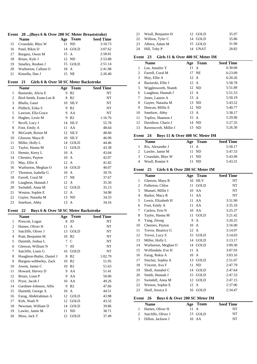|    | Event 20 (Boys 6 & Over 200 SC Meter Breaststroke) |      |         |                  |
|----|----------------------------------------------------|------|---------|------------------|
|    | <b>Name</b>                                        | Age  | Team    | <b>Seed Time</b> |
| 15 | Croasdale, Rhys W                                  |      | 11 ND   | 3:10.73          |
| 16 | Patel, Rikin D                                     |      | 14 GOLD | 3:07.62          |
| 17 | Burgess, Owen M                                    | 15 A |         | 2:58.81          |
| 18 | Briars, Kyle J                                     |      | 12 ND   | 2:53.88          |
| 19 | Smalley, Reuben J                                  |      | 15 GOLD | 2:51.14          |
| 20 | Warburton, Callum O                                | 18 A |         | 2:41.98          |
| 21 | Kinsella, Dan J                                    |      | 15 NE   | 2:26.40          |

#### **Event 21 Girls 6 & Over 50 SC Meter Backstroke**

| Basiurski, Alicia E<br>9<br>B <sub>2</sub><br>NT<br>1<br>2<br>Bird-Smith, Esme-Lee K<br>8<br>B <sub>2</sub><br>NT<br>3<br><b>SILV</b><br>NT<br>Bhalla, Gauri<br>10<br>$\overline{4}$<br>B <sub>2</sub><br>NT<br>Pilditch, Erika S<br>9<br>5<br>AA<br>NT<br>Lawson, Ella-Grace<br>9<br>1:16.76<br>9<br>B <sub>2</sub><br>6<br>Hughes, Lexie M<br><b>SILV</b><br>7<br>55.78<br>Revill, Lucy J<br>14<br>8<br>AA<br>48.64<br>Foot, Emily A<br>11<br>9<br>McGrath, Roisin M<br><b>SILV</b><br>12<br>48.60<br><b>SILV</b><br>46.90<br>10<br>Gleeson, Maya R<br>10<br>GOLD<br>44.46<br>11<br>Miller, Holly L<br>14<br>43.38<br>GOLD<br>12<br>Taylor, Hanna M<br>11<br>13<br>10<br>43.04<br>Hennie, Kerry L<br>$\mathsf{A}$<br>42.07<br>14<br>Chesters, Payton<br>10<br>A<br>May, Ellie A<br>15<br>12<br>41.82<br>$\mathsf{A}$<br>Warburton, Meghan O<br>GOLD<br>40.07<br>16<br>14<br>17<br>39.76<br>Thornton, Isabella G<br>10<br>A<br>18<br>Farrell, Coral M<br>17<br>NE<br>37.67<br>35.50<br>19<br>12<br>Laughton, Hannah J<br>$\mathbf{A}$<br>GOLD<br>20<br>Swindell, Anna M<br>35.13<br>12<br>$\mathbf{A}$<br>34.98<br>21<br>Weston, Sophie E<br>12<br>Gayter, Natasha M<br>22<br>ND.<br>34.33<br>13 |    | <b>Name</b>    | Age | <b>Team</b>  | <b>Seed Time</b> |
|---------------------------------------------------------------------------------------------------------------------------------------------------------------------------------------------------------------------------------------------------------------------------------------------------------------------------------------------------------------------------------------------------------------------------------------------------------------------------------------------------------------------------------------------------------------------------------------------------------------------------------------------------------------------------------------------------------------------------------------------------------------------------------------------------------------------------------------------------------------------------------------------------------------------------------------------------------------------------------------------------------------------------------------------------------------------------------------------------------------------------------------------------------------------------------------------------|----|----------------|-----|--------------|------------------|
|                                                                                                                                                                                                                                                                                                                                                                                                                                                                                                                                                                                                                                                                                                                                                                                                                                                                                                                                                                                                                                                                                                                                                                                                   |    |                |     |              |                  |
|                                                                                                                                                                                                                                                                                                                                                                                                                                                                                                                                                                                                                                                                                                                                                                                                                                                                                                                                                                                                                                                                                                                                                                                                   |    |                |     |              |                  |
|                                                                                                                                                                                                                                                                                                                                                                                                                                                                                                                                                                                                                                                                                                                                                                                                                                                                                                                                                                                                                                                                                                                                                                                                   |    |                |     |              |                  |
|                                                                                                                                                                                                                                                                                                                                                                                                                                                                                                                                                                                                                                                                                                                                                                                                                                                                                                                                                                                                                                                                                                                                                                                                   |    |                |     |              |                  |
|                                                                                                                                                                                                                                                                                                                                                                                                                                                                                                                                                                                                                                                                                                                                                                                                                                                                                                                                                                                                                                                                                                                                                                                                   |    |                |     |              |                  |
|                                                                                                                                                                                                                                                                                                                                                                                                                                                                                                                                                                                                                                                                                                                                                                                                                                                                                                                                                                                                                                                                                                                                                                                                   |    |                |     |              |                  |
|                                                                                                                                                                                                                                                                                                                                                                                                                                                                                                                                                                                                                                                                                                                                                                                                                                                                                                                                                                                                                                                                                                                                                                                                   |    |                |     |              |                  |
|                                                                                                                                                                                                                                                                                                                                                                                                                                                                                                                                                                                                                                                                                                                                                                                                                                                                                                                                                                                                                                                                                                                                                                                                   |    |                |     |              |                  |
|                                                                                                                                                                                                                                                                                                                                                                                                                                                                                                                                                                                                                                                                                                                                                                                                                                                                                                                                                                                                                                                                                                                                                                                                   |    |                |     |              |                  |
|                                                                                                                                                                                                                                                                                                                                                                                                                                                                                                                                                                                                                                                                                                                                                                                                                                                                                                                                                                                                                                                                                                                                                                                                   |    |                |     |              |                  |
|                                                                                                                                                                                                                                                                                                                                                                                                                                                                                                                                                                                                                                                                                                                                                                                                                                                                                                                                                                                                                                                                                                                                                                                                   |    |                |     |              |                  |
|                                                                                                                                                                                                                                                                                                                                                                                                                                                                                                                                                                                                                                                                                                                                                                                                                                                                                                                                                                                                                                                                                                                                                                                                   |    |                |     |              |                  |
|                                                                                                                                                                                                                                                                                                                                                                                                                                                                                                                                                                                                                                                                                                                                                                                                                                                                                                                                                                                                                                                                                                                                                                                                   |    |                |     |              |                  |
|                                                                                                                                                                                                                                                                                                                                                                                                                                                                                                                                                                                                                                                                                                                                                                                                                                                                                                                                                                                                                                                                                                                                                                                                   |    |                |     |              |                  |
|                                                                                                                                                                                                                                                                                                                                                                                                                                                                                                                                                                                                                                                                                                                                                                                                                                                                                                                                                                                                                                                                                                                                                                                                   |    |                |     |              |                  |
|                                                                                                                                                                                                                                                                                                                                                                                                                                                                                                                                                                                                                                                                                                                                                                                                                                                                                                                                                                                                                                                                                                                                                                                                   |    |                |     |              |                  |
|                                                                                                                                                                                                                                                                                                                                                                                                                                                                                                                                                                                                                                                                                                                                                                                                                                                                                                                                                                                                                                                                                                                                                                                                   |    |                |     |              |                  |
|                                                                                                                                                                                                                                                                                                                                                                                                                                                                                                                                                                                                                                                                                                                                                                                                                                                                                                                                                                                                                                                                                                                                                                                                   |    |                |     |              |                  |
|                                                                                                                                                                                                                                                                                                                                                                                                                                                                                                                                                                                                                                                                                                                                                                                                                                                                                                                                                                                                                                                                                                                                                                                                   |    |                |     |              |                  |
|                                                                                                                                                                                                                                                                                                                                                                                                                                                                                                                                                                                                                                                                                                                                                                                                                                                                                                                                                                                                                                                                                                                                                                                                   |    |                |     |              |                  |
|                                                                                                                                                                                                                                                                                                                                                                                                                                                                                                                                                                                                                                                                                                                                                                                                                                                                                                                                                                                                                                                                                                                                                                                                   |    |                |     |              |                  |
|                                                                                                                                                                                                                                                                                                                                                                                                                                                                                                                                                                                                                                                                                                                                                                                                                                                                                                                                                                                                                                                                                                                                                                                                   |    |                |     |              |                  |
|                                                                                                                                                                                                                                                                                                                                                                                                                                                                                                                                                                                                                                                                                                                                                                                                                                                                                                                                                                                                                                                                                                                                                                                                   | 23 | Smeltzer, Abby | 13  | $\mathbf{A}$ | 34.16            |

## **Event 22 Boys 6 & Over 50 SC Meter Backstroke**

|    | <b>Name</b>               | Age | <b>Team</b>       | <b>Seed Time</b> |  |
|----|---------------------------|-----|-------------------|------------------|--|
| 1  | Prescott, Logan           | 8   | JD                | NT               |  |
| 2  | Haines, Oliver H          | 11  | A                 | NT               |  |
| 3  | Sutcliffe, Oliver J       | 13  | GOLD              | NT               |  |
| 4  | Pratt, Benjamin M         | 10  | B <sub>2</sub>    | NT               |  |
| 5  | Daintith, Joshua L        |     | 7 C               | NT               |  |
| 6  | Gleeson, William N        | 7   | JD                | NT               |  |
| 7  | Sutcliffe, Louis G        | 16  | GOLD              | NT               |  |
| 8  | Houghton-Butler, Daniel J | 8   | <b>B2</b>         | 1:02.79          |  |
| 9  | Burgess-wibberley, Zack   | 10  | B <sub>2</sub>    | 51.95            |  |
| 10 | Jowett, James C           |     | 10 B <sub>2</sub> | 51.63            |  |
| 11 | Howard, Harvey D          | 9.  | AA                | 51.41            |  |
| 12 | Briars, Liam P            | 9   | AA                | 50.00            |  |
| 13 | Pryor, Jacob J            | 10  | AA                | 49.26            |  |
| 14 | Gardiner-Johnson, Alfie   | 9   | B <sub>2</sub>    | 47.66            |  |
| 15 | Daintith, George A        | 10  | A                 | 44.51            |  |
| 16 | Farag, Abdelrahman A      | 12  | GOLD              | 43.98            |  |
| 17 | Kirk, Noah N              | 12  | GOLD              | 43.32            |  |
| 18 | Newman, William D         | 14  | GOLD              | 39.86            |  |
| 19 | Lawler, Jamie M           | 11  | ND                | 38.71            |  |
| 20 | Moss, Jack T              | 12  | GOLD              | 37.49            |  |

| 21 Weall, Benjamin H | 12 GOLD | 35.97 |
|----------------------|---------|-------|
| 22 Willson, Tyler C  | 14 GOLD | 35.86 |
| 23 Albera, Adam M    | 15 GOLD | 31.90 |
| 24 Hill, Toby P      | 14 UNAT | 28.82 |

#### **Event 23 Girls 11 & Over 400 SC Meter IM**

|                | <b>Name</b>           | Age            | <b>Team</b>  | <b>Seed Time</b> |
|----------------|-----------------------|----------------|--------------|------------------|
| 1              | Lee. Jennifer Y       | 11             | $\mathsf{A}$ | 6:30.00          |
| $\overline{c}$ | Farrell, Coral M      |                | 17 NE        | 6:23.09          |
| 3              | May, Ellie A          | $12 \text{ A}$ |              | 6:20.26          |
| $\overline{4}$ | Basiurski, Ellie J    | 12 A           |              | 5:58.78          |
| 5              | Wigglesworth, Niamh   |                | 12 ND        | 5:51.89          |
| 6              | Laughton, Hannah J    | 12 A           |              | 5:51.53          |
| 7              | Jones, Lauren A       | 13             | A            | 5:50.19          |
| 8              | Gayter, Natasha M     |                | 13 ND        | 5:43.52          |
| 9              | Duncan, Millie E      |                | 12 ND        | 5:40.77          |
| 10             | Smeltzer, Abby        | 13             | $\mathbf{A}$ | 5:38.17          |
| 11             | Topliss, Shannon J    | 15 A           |              | 5:29.90          |
| 12             | Davidson, Charis J    |                | 14 ND        | 5:27.35          |
| 13             | Ravenscroft, Millie J |                | 13 ND        | 5:26.30          |

#### **Event 24 Boys 11 & Over 400 SC Meter IM**

| <b>Name</b>       |                | Age Team | <b>Seed Time</b> |
|-------------------|----------------|----------|------------------|
| Rix, Alexander J  | $11 \text{ A}$ |          | 5:58.17          |
| 2 Lawler, Jamie M |                | 11 ND    | 5:47.53          |
| Croasdale, Rhys W |                | 11 ND    | 5:43.99          |
| Weall, Ronnie S   |                | 11 ND    | 5:43.31          |

#### **Event 25 Girls 6 & Over 200 SC Meter IM**

|                | <b>Name</b>         | Age | <b>Team</b>  | <b>Seed Time</b> |
|----------------|---------------------|-----|--------------|------------------|
| $\mathbf{1}$   | Gleeson, Maya R     | 10  | <b>SILV</b>  | NT               |
| 2              | Fullerton, Chloe    | 11  | GOLD         | NT               |
| 3              | Manuel, Millie I    |     | 10 AA        | NT               |
| $\overline{4}$ | Barker, Macy R      | 11  | AA           | NT               |
| 5              | Lewis, Elizabeth H  | 11  | AA           | 3:51.90          |
| 6              | Foot, Emily A       | 11  | AA           | 3:35.10          |
| 7              | Carless, Erin N     |     | 10 AA        | 3:25.37          |
| 8              | Taylor, Hanna M     | 11  | GOLD         | 3:21.42          |
| 9              | Yang, Zitong        | 9   | A            | 3:20.25          |
| 10             | Chesters, Payton    | 10  | A            | 3:16.00          |
| 11             | Trevor, Beatrice G  | 12  | $\mathbf{A}$ | 3:14.97          |
| 12             | Trevor, Lucy S      | 15  | GOLD         | 3:14.03          |
| 13             | Miller, Holly L     | 14  | GOLD         | 3:13.17          |
| 14             | Warburton, Meghan O | 14  | GOLD         | 3:09.30          |
| 15             | Wolfendale, Eve H   | 11  | $\mathsf{A}$ | 3:07.93          |
| 16             | Farag, Rokia A      | 10  | $\mathsf{A}$ | 3:03.16          |
| 17             | Sinclair, Sophia A  | 13  | GOLD         | 2:51.07          |
| 18             | Vincent, Ava F      | 11  | ND           | 2:47.79          |
| 19             | Sholl, Annabel C    | 14  | GOLD         | 2:47.64          |
| 20             | Smith, Hannah J     | 15  | GOLD         | 2:47.33          |
| 21             | Swindell, Anna M    | 12  | GOLD         | 2:47.15          |
| 22             | Weston, Sophie E    | 12  | $\mathsf{A}$ | 2:37.06          |
| 23             | Sholl, Jessica S    | 16  | GOLD         | 2:34.47          |
|                |                     |     |              |                  |

#### **Event 26 Boys 6 & Over 200 SC Meter IM**

| <b>Name</b>           |      | Age Team | <b>Seed Time</b> |
|-----------------------|------|----------|------------------|
| Haines, Oliver H      | 11 A |          | NT               |
| 2 Sutcliffe, Oliver J |      | 13 GOLD  | NT               |
| 3 Dillon, Jackson J   |      | 10 AA    | NT               |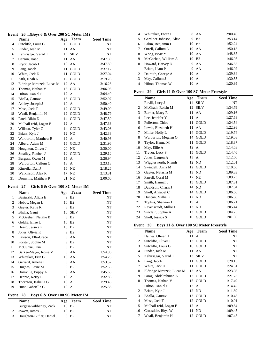#### **Event 26 ...(Boys 6 & Over 200 SC Meter IM)**

|                | <b>Name</b>               | Age | <b>Team</b> | <b>Seed Time</b> |
|----------------|---------------------------|-----|-------------|------------------|
| $\overline{4}$ | Sutcliffe, Louis G        | 16  | <b>GOLD</b> | NT               |
| 5              | Pinder, Josh M            | 11  | AA          | NT               |
| 6              | Kshirsagar, Varad T       | 13  | <b>SILV</b> | NT               |
| 7              | Carson, Isaac J           | 11  | AA          | 3:47.59          |
| 8              | Pryor, Jacob J            | 10  | AA          | 3:47.50          |
| 9              | Lang, Jacob               | 11  | GOLD        | 3:37.17          |
| 10             | White, Jack D             | 11  | <b>GOLD</b> | 3:27.04          |
| 11             | Kirk, Noah N              | 12  | <b>GOLD</b> | 3:19.28          |
| 12             | Eldridge-Mrotzek, Lucas M | 12  | AA          | 3:16.23          |
| 13             | Thomas, Nathan V          | 15  | <b>GOLD</b> | 3:06.95          |
| 14             | Hilton, Daniel S          | 12  | A           | 3:04.40          |
| 15             | Bhalla, Gaurav            | 13  | <b>GOLD</b> | 2:52.97          |
| 16             | Ashley, Joseph J          | 10  | A           | 2:50.40          |
| 17             | Moss, Jack T              | 12  | GOLD        | 2:49.00          |
| 18             | Weall, Benjamin H         | 12  | <b>GOLD</b> | 2:48.79          |
| 19             | Patel, Rikin D            | 14  | GOLD        | 2:47.59          |
| 20             | Mulhall-reid, Logan E     | 12  | A           | 2:47.38          |
| 21             | Willson, Tyler C          | 14  | GOLD        | 2:43.08          |
| 22             | Briars, Kyle J            | 12  | <b>ND</b>   | 2:42.38          |
| 23             | Warburton, Matthew E      | 12  | A           | 2:40.93          |
| 24             | Albera, Adam M            | 15  | GOLD        | 2:31.96          |
| 25             | Houghton, Oliver J        | 20  | <b>NE</b>   | 2:30.00          |
| 26             | Smalley, Reuben J         | 15  | GOLD        | 2:29.15          |
| 27             | Burgess, Owen M           | 15  | A           | 2:26.94          |
| 28             | Warburton, Callum O       | 18  | A           | 2:23.18          |
| 29             | Kinsella, Dan J           | 15  | NE          | 2:18.25          |
| 30             | Watkinson, Alex R         | 17  | NE          | 2:13.31          |
| 31             | Domville, Matthew P       | 21  | NE          | 2:00.60          |

# **Event 27 Girls 6 & Over 100 SC Meter IM**

|    | Name                  | Age | Team           | <b>Seed Time</b> |
|----|-----------------------|-----|----------------|------------------|
| 1  | Basiurski, Alicia E   | 9   | B <sub>2</sub> | NT               |
| 2  | Hobbs, Megan L        | 10  | <b>B2</b>      | NT               |
| 3  | Gayter, Katie R       | 8   | B <sub>2</sub> | NT               |
| 4  | Bhalla, Gauri         | 10  | <b>SILV</b>    | NT               |
| 5  | McGeehan, Natalie B   | 8   | B <sub>2</sub> | NT               |
| 6  | Goldie, Elize L       | 10  | B <sub>2</sub> | NT               |
| 7  | Heard, Jessica K      | 10  | B <sub>2</sub> | NT               |
| 8  | Jones, Olivia K       | 9   | <b>B2</b>      | NT               |
| 9  | Lawson, Ella-Grace    | 9   | AA             | NT               |
| 10 | Forster, Sophie M     | 9   | B <sub>2</sub> | NT               |
| 11 | McCurrie, Erin        | 9   | B <sub>2</sub> | NT               |
| 12 | Barker-Mayer, Rosie M | 9   | AA             | 1:54.96          |
| 13 | Whittaker, Erin G     | 10  | AA             | 1:54.23          |
| 14 | Gerrard, Amelia F     | 9   | AA             | 1:53.57          |
| 15 | Hughes, Lexie M       | 9   | B <sub>2</sub> | 1:52.55          |
| 16 | Domville, Poppy A     | 8   | AA             | 1:45.63          |
| 17 | Hennie, Kerry L       | 10  | A              | 1:32.86          |
| 18 | Thornton, Isabella G  | 10  | A              | 1:29.45          |
| 19 | Hunt, Gabriella G     | 10  | A              | 1:25.33          |

# **Event 28 Boys 6 & Over 100 SC Meter IM**

| <b>Name</b>                 | Age Team          | <b>Seed Time</b> |
|-----------------------------|-------------------|------------------|
| Burgess-wibberley, Zack     | 10 B <sub>2</sub> | NT               |
| 2 Jowett, James C           | 10 B <sub>2</sub> | NT               |
| 3 Houghton-Butler, Daniel J | 8 B <sub>2</sub>  | NT               |

| 4  | Whittaker, Ewan I       | 8  | AA                | 2:00.46 |
|----|-------------------------|----|-------------------|---------|
| 5  | Gardiner-Johnson, Alfie | 9  | <b>B2</b>         | 1:53.14 |
| 6  | Lakin, Benjamin L       | 10 | <b>B2</b>         | 1:52.24 |
| 7  | Orrell, Callum L        |    | 10 AA             | 1:50.13 |
| 8  | Wong, Isaac Y           |    | 10 AA             | 1:48.67 |
| 9  | McGeehan, William A     |    | 10 B <sub>2</sub> | 1:46.95 |
| 10 | Howard, Harvey D        |    | 9 AA              | 1:46.85 |
| 11 | Briars, Liam P          |    | 9 AA              | 1:46.02 |
| 12 | Daintith, George A      |    | 10 A              | 1:39.84 |
| 13 | May, Callum J           |    | $10 \text{ A}$    | 1:30.55 |
| 14 | Hilton, Thomas W        |    | $10 \text{ A}$    | 1:20.95 |

#### **Event 29 Girls 11 & Over 100 SC Meter Freestyle**

|    | <b>Name</b>           | Age  | <b>Team</b>  | <b>Seed Time</b> |
|----|-----------------------|------|--------------|------------------|
| 1  | Revill, Lucy J        | 14   | <b>SILV</b>  | NT               |
| 2  | McGrath, Roisin M     | 12   | <b>SILV</b>  | 1:34.79          |
| 3  | Barker, Macy R        | 11   | AA           | 1:29.16          |
| 4  | Lee, Jennifer Y       | 11   | $\mathbf{A}$ | 1:27.58          |
| 5  | Fullerton, Chloe      | 11   | GOLD         | 1:24.54          |
| 6  | Lewis, Elizabeth H    | 11   | AA           | 1:22.98          |
| 7  | Miller, Holly L       |      | 14 GOLD      | 1:19.74          |
| 8  | Warburton, Meghan O   |      | 14 GOLD      | 1:19.08          |
| 9  | Taylor, Hanna M       | 11   | GOLD         | 1:18.37          |
| 10 | May, Ellie A          | 12 A |              | 1:14.53          |
| 11 | Trevor, Lucy S        |      | 15 GOLD      | 1:14.46          |
| 12 | Jones, Lauren A       | 13   | $\mathbf{A}$ | 1:12.60          |
| 13 | Wigglesworth, Niamh   |      | 12 ND        | 1:12.01          |
| 14 | Swindell, Anna M      |      | 12 GOLD      | 1:10.66          |
| 15 | Gayter, Natasha M     | 13   | ND           | 1:09.83          |
| 16 | Farrell, Coral M      | 17   | <b>NE</b>    | 1:09.25          |
| 17 | Smith, Hannah J       | 15   | GOLD         | 1:07.31          |
| 18 | Davidson, Charis J    | 14   | <b>ND</b>    | 1:07.04          |
| 19 | Sholl, Annabel C      | 14   | GOLD         | 1:06.66          |
| 20 | Duncan, Millie E      |      | 12 ND        | 1:06.38          |
| 21 | Topliss, Shannon J    | 15   | A            | 1:06.21          |
| 22 | Ravenscroft, Millie J | 13   | ND           | 1:05.44          |
| 23 | Sinclair, Sophia A    | 13   | GOLD         | 1:04.75          |
| 24 | Sholl, Jessica S      | 16   | GOLD         | 1:01.86          |

#### **Event 30 Boys 11 & Over 100 SC Meter Freestyle**

|    | <b>Name</b>               |    | Age Team    | <b>Seed Time</b> |  |
|----|---------------------------|----|-------------|------------------|--|
| 1  | Haines, Oliver H          | 11 | A           | NT               |  |
| 2  | Sutcliffe, Oliver J       | 13 | GOLD        | NT               |  |
| 3  | Sutcliffe, Louis G        | 16 | GOLD        | NT               |  |
| 4  | Pinder, Josh M            | 11 | AA          | NT               |  |
| 5  | Kshirsagar, Varad T       | 13 | <b>SILV</b> | NT               |  |
| 6  | Lang, Jacob               | 11 | GOLD        | 1:28.13          |  |
| 7  | White, Jack D             | 11 | GOLD        | 1:24.31          |  |
| 8  | Eldridge-Mrotzek, Lucas M |    | 12 AA       | 1:23.98          |  |
| 9  | Farag, Abdelrahman A      | 12 | GOLD        | 1:21.73          |  |
| 10 | Thomas, Nathan V          | 15 | GOLD        | 1:17.49          |  |
| 11 | Hilton, Daniel S          | 12 | A           | 1:14.42          |  |
| 12 | Briars, Kyle J            | 12 | ND          | 1:11.39          |  |
| 13 | Bhalla, Gaurav            | 13 | GOLD        | 1:10.48          |  |
| 14 | Moss, Jack T              | 12 | GOLD        | 1:10.01          |  |
| 15 | Mulhall-reid, Logan E     | 12 | A           | 1:09.84          |  |
| 16 | Croasdale, Rhys W         | 11 | ND          | 1:09.45          |  |
| 17 | Weall, Benjamin H         | 12 | GOLD        | 1:07.45          |  |